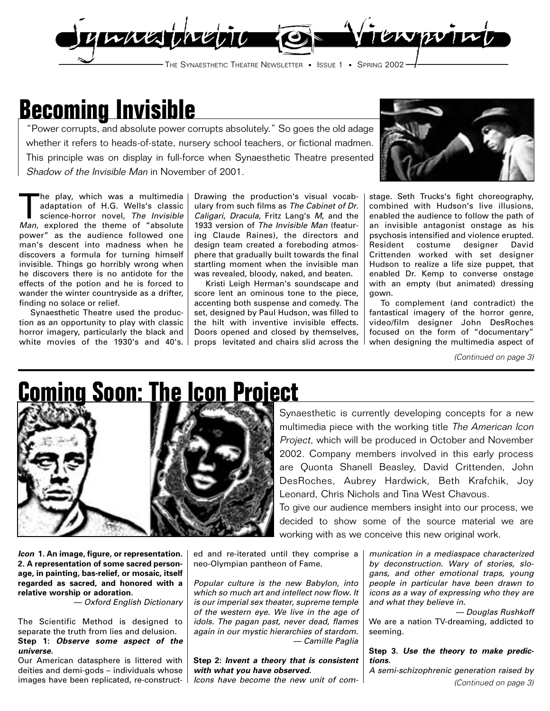

# **Becoming Invisible**

"Power corrupts, and absolute power corrupts absolutely." So goes the old adage whether it refers to heads-of-state, nursery school teachers, or fictional madmen. This principle was on display in full-force when Synaesthetic Theatre presented Shadow of the Invisible Man in November of 2001.



The play, which was a multimedia adaptation of H.G. Wells's classic science-horror novel, The Invisible Man, explored the theme of "absolute power" as the audience followed one man's descent into madness when he discovers a formula for turning himself invisible. Things go horribly wrong when he discovers there is no antidote for the effects of the potion and he is forced to wander the winter countryside as a drifter, finding no solace or relief.

Synaesthetic Theatre used the production as an opportunity to play with classic horror imagery, particularly the black and white movies of the 1930's and 40's.

Drawing the production's visual vocabulary from such films as The Cabinet of Dr. Caligari, Dracula, Fritz Lang's M, and the 1933 version of The Invisible Man (featuring Claude Raines), the directors and design team created a foreboding atmosphere that gradually built towards the final startling moment when the invisible man was revealed, bloody, naked, and beaten.

Kristi Leigh Herman's soundscape and score lent an ominous tone to the piece, accenting both suspense and comedy. The set, designed by Paul Hudson, was filled to the hilt with inventive invisible effects. Doors opened and closed by themselves, props levitated and chairs slid across the

stage. Seth Trucks's fight choreography, combined with Hudson's live illusions, enabled the audience to follow the path of an invisible antagonist onstage as his psychosis intensified and violence erupted. Resident costume designer David Crittenden worked with set designer Hudson to realize a life size puppet, that enabled Dr. Kemp to converse onstage with an empty (but animated) dressing gown.

To complement (and contradict) the fantastical imagery of the horror genre, video/film designer John DesRoches focused on the form of "documentary" when designing the multimedia aspect of

(Continued on page 3)

## **Coming Soon: The Icon Project**



Synaesthetic is currently developing concepts for a new multimedia piece with the working title The American Icon Project, which will be produced in October and November 2002. Company members involved in this early process are Quonta Shanell Beasley, David Crittenden, John DesRoches, Aubrey Hardwick, Beth Krafchik, Joy Leonard, Chris Nichols and Tina West Chavous.

To give our audience members insight into our process, we decided to show some of the source material we are working with as we conceive this new original work.

**Icon 1. An image, figure, or representation. 2. A representation of some sacred personage, in painting, bas-relief, or mosaic, itself regarded as sacred, and honored with a relative worship or adoration.** 

— Oxford English Dictionary

The Scientific Method is designed to separate the truth from lies and delusion. **Step 1: Observe some aspect of the universe.**

Our American datasphere is littered with deities and demi-gods – individuals whose images have been replicated, re-construct-

ed and re-iterated until they comprise a neo-Olympian pantheon of Fame.

Popular culture is the new Babylon, into which so much art and intellect now flow. It is our imperial sex theater, supreme temple of the western eye. We live in the age of idols. The pagan past, never dead, flames again in our mystic hierarchies of stardom. — Camille Paglia

### **Step 2: Invent a theory that is consistent with what you have observed.**

Icons have become the new unit of com-

munication in a mediaspace characterized by deconstruction. Wary of stories, slogans, and other emotional traps, young people in particular have been drawn to icons as a way of expressing who they are and what they believe in.

— Douglas Rushkoff We are a nation TV-dreaming, addicted to seeming.

### **Step 3. Use the theory to make predictions.**

A semi-schizophrenic generation raised by (Continued on page 3)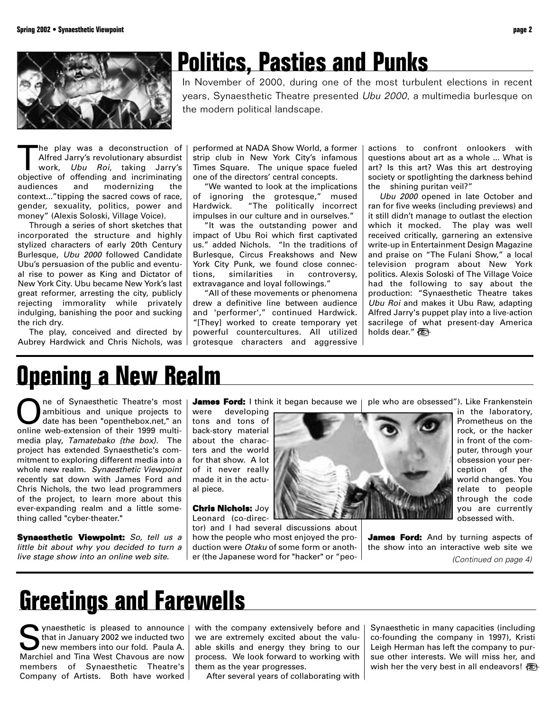

## **Politics, Pasties and Punks**

In November of 2000, during one of the most turbulent elections in recent years, Synaesthetic Theatre presented Ubu 2000, a multimedia burlesque on the modern political landscape.

he play was a deconstruction of Alfred Jarry's revolutionary absurdist work, Ubu Roi, taking Jarry's objective of offending and incriminating audiences and modernizing the context..."tipping the sacred cows of race, gender, sexuality, politics, power and money" (Alexis Soloski, Village Voice).

Through a series of short sketches that incorporated the structure and highly stylized characters of early 20th Century Burlesque, Ubu 2000 followed Candidate Ubu's persuasion of the public and eventual rise to power as King and Dictator of New York City. Ubu became New York's last great reformer, arresting the city, publicly rejecting immorality while privately indulging, banishing the poor and sucking the rich dry.

The play, conceived and directed by Aubrey Hardwick and Chris Nichols, was

performed at NADA Show World, a former strip club in New York City's infamous Times Square. The unique space fueled one of the directors' central concepts.

"We wanted to look at the implications of ignoring the grotesque," mused Hardwick. "The politically incorrect impulses in our culture and in ourselves."

"It was the outstanding power and impact of Ubu Roi which first captivated us." added Nichols. "In the traditions of Burlesque, Circus Freakshows and New York City Punk, we found close connections, similarities in controversy, extravagance and loyal followings."

"All of these movements or phenomena drew a definitive line between audience and 'performer'," continued Hardwick. "[They] worked to create temporary yet powerful countercultures. All utilized grotesque characters and aggressive

actions to confront onlookers with questions about art as a whole ... What is art? Is this art? Was this art destroying society or spotlighting the darkness behind the shining puritan veil?"

Ubu 2000 opened in late October and ran for five weeks (including previews) and it still didn't manage to outlast the election which it mocked. The play was well received critically, garnering an extensive write-up in Entertainment Design Magazine and praise on "The Fulani Show," a local television program about New York politics. Alexis Soloski of The Village Voice had the following to say about the production: "Synaesthetic Theatre takes Ubu Roi and makes it Ubu Raw, adapting Alfred Jarry's puppet play into a live-action sacrilege of what present-day America holds dear."

### **Opening a New Realm**

**ORE ONE ONE OR Synaesthetic Theatre's most**<br>date has been "openthebox.net," an<br>opling web-oxtansion of their 1999 multiambitious and unique projects to online web-extension of their 1999 multimedia play, Tamatebako {the box}. The project has extended Synaesthetic's commitment to exploring different media into a whole new realm. Synaesthetic Viewpoint recently sat down with James Ford and Chris Nichols, the two lead programmers of the project, to learn more about this ever-expanding realm and a little something called "cyber-theater."

**Synaesthetic Viewpoint:** So, tell us a little bit about why you decided to turn a live stage show into an online web site.

**James Ford:** I think it began because we |

were developing tons and tons of back-story material about the characters and the world for that show. A lot of it never really made it in the actual piece.

**Chris Nichols:** Joy Leonard (co-direc-

tor) and I had several discussions about how the people who most enjoyed the production were Otaku of some form or another (the Japanese word for "hacker" or "peo-



ple who are obsessed"). Like Frankenstein

in the laboratory, Prometheus on the rock, or the hacker in front of the computer, through your obsession your perception of the world changes. You relate to people through the code you are currently obsessed with.

**James Ford:** And by turning aspects of the show into an interactive web site we (Continued on page 4)

## **Greetings and Farewells**

synaesthetic is pleased to announce that in January 2002 we inducted two new members into our fold. Paula A. Marchiel and Tina West Chavous are now members of Synaesthetic Theatre's Company of Artists. Both have worked

with the company extensively before and we are extremely excited about the valuable skills and energy they bring to our process. We look forward to working with them as the year progresses.

After several years of collaborating with

Synaesthetic in many capacities (including co-founding the company in 1997), Kristi Leigh Herman has left the company to pursue other interests. We will miss her, and wish her the very best in all endeavors!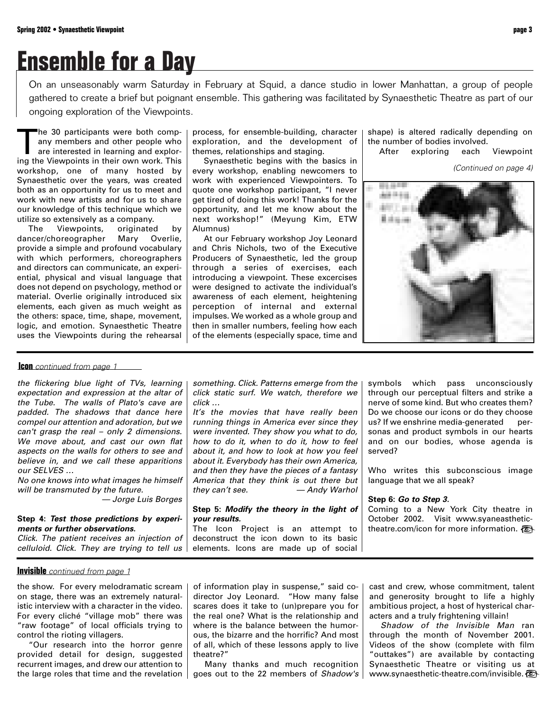# **Ensemble for a Day**

On an unseasonably warm Saturday in February at Squid, a dance studio in lower Manhattan, a group of people gathered to create a brief but poignant ensemble. This gathering was facilitated by Synaesthetic Theatre as part of our ongoing exploration of the Viewpoints.

The 30 participants were both company members and other people who are interested in learning and exploring the Viewpoints in their own work. This workshop, one of many hosted by Synaesthetic over the years, was created both as an opportunity for us to meet and work with new artists and for us to share our knowledge of this technique which we utilize so extensively as a company.

The Viewpoints, originated by dancer/choreographer Mary Overlie, provide a simple and profound vocabulary with which performers, choreographers and directors can communicate, an experiential, physical and visual language that does not depend on psychology, method or material. Overlie originally introduced six elements, each given as much weight as the others: space, time, shape, movement, logic, and emotion. Synaesthetic Theatre uses the Viewpoints during the rehearsal process, for ensemble-building, character exploration, and the development of themes, relationships and staging.

Synaesthetic begins with the basics in every workshop, enabling newcomers to work with experienced Viewpointers. To quote one workshop participant, "I never get tired of doing this work! Thanks for the opportunity, and let me know about the next workshop!" (Meyung Kim, ETW Alumnus)

At our February workshop Joy Leonard and Chris Nichols, two of the Executive Producers of Synaesthetic, led the group through a series of exercises, each introducing a viewpoint. These excercises were designed to activate the individual's awareness of each element, heightening perception of internal and external impulses. We worked as a whole group and then in smaller numbers, feeling how each of the elements (especially space, time and

about it, and how to look at how you feel about it. Everybody has their own America, and then they have the pieces of a fantasy America that they think is out there but they can't see.  $-$  Andy Warhol

**Step 5: Modify the theory in the light of**

The Icon Project is an attempt to deconstruct the icon down to its basic elements. Icons are made up of social

shape) is altered radically depending on the number of bodies involved.

After exploring each Viewpoint

```
(Continued on page 4)
```
something. Click. Patterns emerge from the click static surf. We watch, therefore we It's the movies that have really been running things in America ever since they were invented. They show you what to do, how to do it, when to do it, how to feel symbols which pass unconsciously through our perceptual filters and strike a nerve of some kind. But who creates them? Do we choose our icons or do they choose us? If we enshrine media-generated personas and product symbols in our hearts and on our bodies, whose agenda is

> Who writes this subconscious image language that we all speak?

### **Step 6: Go to Step 3.**

served?

Coming to a New York City theatre in October 2002. Visit www.syaneasthetictheatre.com/icon for more information.

### **Icon** continued from page 1

the flickering blue light of TVs, learning expectation and expression at the altar of the Tube. The walls of Plato's cave are padded. The shadows that dance here compel our attention and adoration, but we can't grasp the real – only 2 dimensions. We move about, and cast our own flat aspects on the walls for others to see and believe in, and we call these apparitions our SELVES …

No one knows into what images he himself will be transmuted by the future.

— Jorge Luis Borges

click …

**your results.**

### **Step 4: Test those predictions by experiments or further observations.**

Click. The patient receives an injection of celluloid. Click. They are trying to tell us

**Invisible** continued from page 1

the show. For every melodramatic scream on stage, there was an extremely naturalistic interview with a character in the video. For every cliché "village mob" there was "raw footage" of local officials trying to control the rioting villagers.

"Our research into the horror genre provided detail for design, suggested recurrent images, and drew our attention to the large roles that time and the revelation

of information play in suspense," said codirector Joy Leonard. "How many false scares does it take to (un)prepare you for the real one? What is the relationship and where is the balance between the humorous, the bizarre and the horrific? And most of all, which of these lessons apply to live theatre?"

Many thanks and much recognition goes out to the 22 members of Shadow's

cast and crew, whose commitment, talent and generosity brought to life a highly ambitious project, a host of hysterical characters and a truly frightening villain!

Shadow of the Invisible Man ran through the month of November 2001. Videos of the show (complete with film "outtakes") are available by contacting Synaesthetic Theatre or visiting us at www.synaesthetic-theatre.com/invisible.